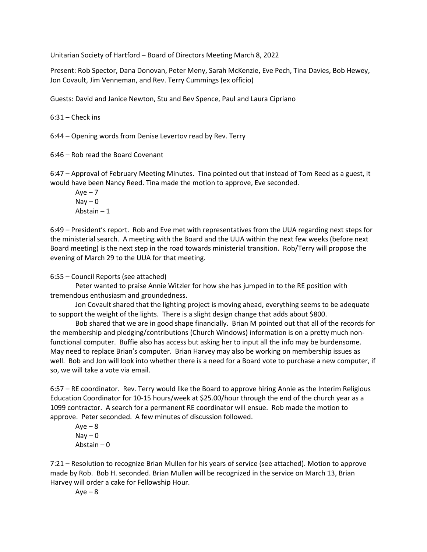Unitarian Society of Hartford – Board of Directors Meeting March 8, 2022

Present: Rob Spector, Dana Donovan, Peter Meny, Sarah McKenzie, Eve Pech, Tina Davies, Bob Hewey, Jon Covault, Jim Venneman, and Rev. Terry Cummings (ex officio)

Guests: David and Janice Newton, Stu and Bev Spence, Paul and Laura Cipriano

6:31 – Check ins

6:44 – Opening words from Denise Levertov read by Rev. Terry

6:46 – Rob read the Board Covenant

6:47 – Approval of February Meeting Minutes. Tina pointed out that instead of Tom Reed as a guest, it would have been Nancy Reed. Tina made the motion to approve, Eve seconded.

 $Aye - 7$  $\text{Nay} - \text{O}$ Abstain – 1

6:49 – President's report. Rob and Eve met with representatives from the UUA regarding next steps for the ministerial search. A meeting with the Board and the UUA within the next few weeks (before next Board meeting) is the next step in the road towards ministerial transition. Rob/Terry will propose the evening of March 29 to the UUA for that meeting.

6:55 – Council Reports (see attached)

Peter wanted to praise Annie Witzler for how she has jumped in to the RE position with tremendous enthusiasm and groundedness.

Jon Covault shared that the lighting project is moving ahead, everything seems to be adequate to support the weight of the lights. There is a slight design change that adds about \$800.

Bob shared that we are in good shape financially. Brian M pointed out that all of the records for the membership and pledging/contributions (Church Windows) information is on a pretty much nonfunctional computer. Buffie also has access but asking her to input all the info may be burdensome. May need to replace Brian's computer. Brian Harvey may also be working on membership issues as well. Bob and Jon will look into whether there is a need for a Board vote to purchase a new computer, if so, we will take a vote via email.

6:57 – RE coordinator. Rev. Terry would like the Board to approve hiring Annie as the Interim Religious Education Coordinator for 10-15 hours/week at \$25.00/hour through the end of the church year as a 1099 contractor. A search for a permanent RE coordinator will ensue. Rob made the motion to approve. Peter seconded. A few minutes of discussion followed.

 $Aye - 8$  $\text{Nay} - \text{O}$ Abstain – 0

7:21 – Resolution to recognize Brian Mullen for his years of service (see attached). Motion to approve made by Rob. Bob H. seconded. Brian Mullen will be recognized in the service on March 13, Brian Harvey will order a cake for Fellowship Hour.

 $Aye - 8$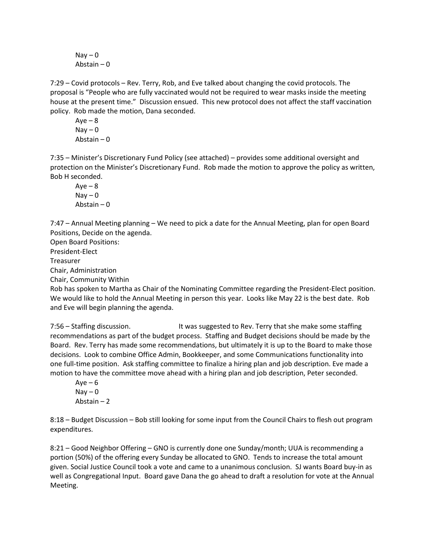$\text{Nay} - \text{O}$ Abstain – 0

7:29 – Covid protocols – Rev. Terry, Rob, and Eve talked about changing the covid protocols. The proposal is "People who are fully vaccinated would not be required to wear masks inside the meeting house at the present time." Discussion ensued. This new protocol does not affect the staff vaccination policy. Rob made the motion, Dana seconded.

 $Aye - 8$  $Nay - 0$ Abstain – 0

7:35 – Minister's Discretionary Fund Policy (see attached) – provides some additional oversight and protection on the Minister's Discretionary Fund. Rob made the motion to approve the policy as written, Bob H seconded.

 $Ave - 8$  $Nay - 0$ Abstain – 0

7:47 – Annual Meeting planning – We need to pick a date for the Annual Meeting, plan for open Board Positions, Decide on the agenda.

Open Board Positions: President-Elect Treasurer Chair, Administration Chair, Community Within

Rob has spoken to Martha as Chair of the Nominating Committee regarding the President-Elect position. We would like to hold the Annual Meeting in person this year. Looks like May 22 is the best date. Rob and Eve will begin planning the agenda.

7:56 – Staffing discussion. It was suggested to Rev. Terry that she make some staffing recommendations as part of the budget process. Staffing and Budget decisions should be made by the Board. Rev. Terry has made some recommendations, but ultimately it is up to the Board to make those decisions. Look to combine Office Admin, Bookkeeper, and some Communications functionality into one full-time position. Ask staffing committee to finalize a hiring plan and job description. Eve made a motion to have the committee move ahead with a hiring plan and job description, Peter seconded.

 $Ave - 6$  $Nav - 0$ Abstain – 2

8:18 – Budget Discussion – Bob still looking for some input from the Council Chairs to flesh out program expenditures.

8:21 – Good Neighbor Offering – GNO is currently done one Sunday/month; UUA is recommending a portion (50%) of the offering every Sunday be allocated to GNO. Tends to increase the total amount given. Social Justice Council took a vote and came to a unanimous conclusion. SJ wants Board buy-in as well as Congregational Input. Board gave Dana the go ahead to draft a resolution for vote at the Annual Meeting.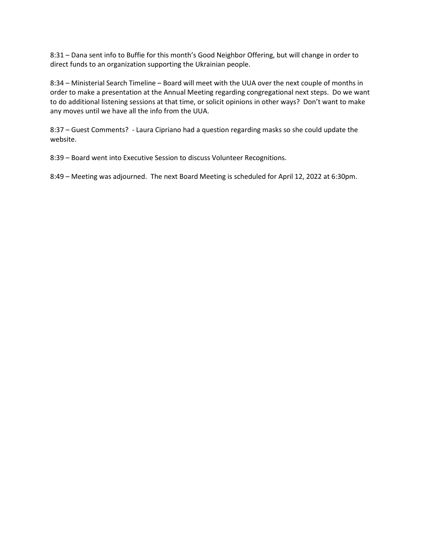8:31 – Dana sent info to Buffie for this month's Good Neighbor Offering, but will change in order to direct funds to an organization supporting the Ukrainian people.

8:34 – Ministerial Search Timeline – Board will meet with the UUA over the next couple of months in order to make a presentation at the Annual Meeting regarding congregational next steps. Do we want to do additional listening sessions at that time, or solicit opinions in other ways? Don't want to make any moves until we have all the info from the UUA.

8:37 – Guest Comments? - Laura Cipriano had a question regarding masks so she could update the website.

8:39 – Board went into Executive Session to discuss Volunteer Recognitions.

8:49 – Meeting was adjourned. The next Board Meeting is scheduled for April 12, 2022 at 6:30pm.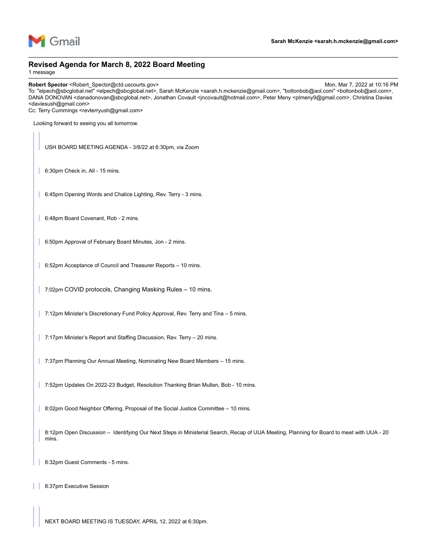

#### **Revised Agenda for March 8, 2022 Board Meeting**

1 message

**Robert Spector** <Robert\_Spector@ctd.uscourts.gov> Mon, Mar 7, 2022 at 10:16 PM

To: "elpech@sbcglobal.net" <elpech@sbcglobal.net>, Sarah McKenzie <sarah.h.mckenzie@gmail.com>, "boltonbob@aol.com" <boltonbob@aol.com>, DANA DONOVAN <danadonovan@sbcglobal.net>, Jonathan Covault <incovault@hotmail.com>, Peter Meny <plmeny9@gmail.com>, Christina Davies <daviesush@gmail.com>

Cc: Terry Cummings <revterryush@gmail.com>

Looking forward to seeing you all tomorrow.

USH BOARD MEETING AGENDA - 3/8/22 at 6:30pm, via Zoom

6:30pm Check in, All - 15 mins.

6:45pm Opening Words and Chalice Lighting, Rev. Terry - 3 mins.

6:48pm Board Covenant, Rob - 2 mins.

6:50pm Approval of February Board Minutes, Jon - 2 mins.

6:52pm Acceptance of Council and Treasurer Reports – 10 mins.

7:02pm COVID protocols, Changing Masking Rules - 10 mins.

7:12pm Minister's Discretionary Fund Policy Approval, Rev. Terry and Tina – 5 mins.

7:17pm Minister's Report and Staffing Discussion, Rev. Terry - 20 mins.

7:37pm Planning Our Annual Meeting, Nominating New Board Members - 15 mins.

7:52pm Updates On 2022-23 Budget, Resolution Thanking Brian Mullen, Bob - 10 mins.

8:02pm Good Neighbor Offering, Proposal of the Social Justice Committee – 10 mins.

8:12pm Open Discussion – Identifying Our Next Steps in Ministerial Search, Recap of UUA Meeting, Planning for Board to meet with UUA - 20 mins.

8:32pm Guest Comments - 5 mins.

| 8:37pm Executive Session

NEXT BOARD MEETING IS TUESDAY, APRIL 12, 2022 at 6:30pm.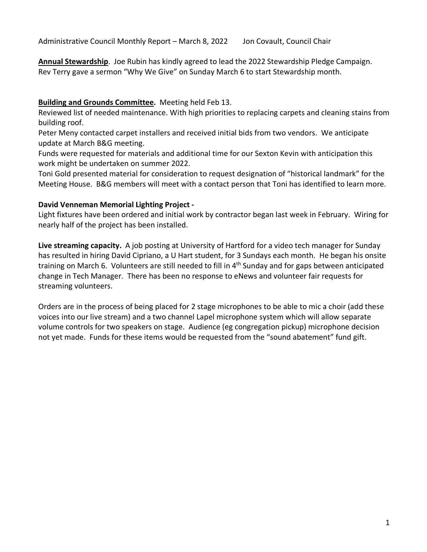Administrative Council Monthly Report – March 8, 2022 Jon Covault, Council Chair

**Annual Stewardship**. Joe Rubin has kindly agreed to lead the 2022 Stewardship Pledge Campaign. Rev Terry gave a sermon "Why We Give" on Sunday March 6 to start Stewardship month.

### **Building and Grounds Committee.** Meeting held Feb 13.

Reviewed list of needed maintenance. With high priorities to replacing carpets and cleaning stains from building roof.

Peter Meny contacted carpet installers and received initial bids from two vendors. We anticipate update at March B&G meeting.

Funds were requested for materials and additional time for our Sexton Kevin with anticipation this work might be undertaken on summer 2022.

Toni Gold presented material for consideration to request designation of "historical landmark" for the Meeting House. B&G members will meet with a contact person that Toni has identified to learn more.

### **David Venneman Memorial Lighting Project -**

Light fixtures have been ordered and initial work by contractor began last week in February. Wiring for nearly half of the project has been installed.

**Live streaming capacity.** A job posting at University of Hartford for a video tech manager for Sunday has resulted in hiring David Cipriano, a U Hart student, for 3 Sundays each month. He began his onsite training on March 6. Volunteers are still needed to fill in 4<sup>th</sup> Sunday and for gaps between anticipated change in Tech Manager. There has been no response to eNews and volunteer fair requests for streaming volunteers.

Orders are in the process of being placed for 2 stage microphones to be able to mic a choir (add these voices into our live stream) and a two channel Lapel microphone system which will allow separate volume controls for two speakers on stage. Audience (eg congregation pickup) microphone decision not yet made. Funds for these items would be requested from the "sound abatement" fund gift.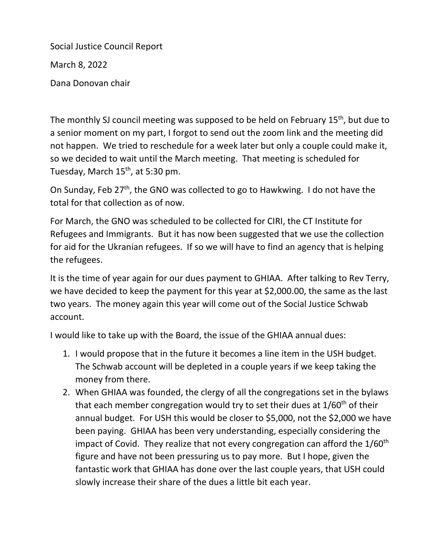Social Justice Council Report March 8, 2022 Dana Donovan chair

The monthly SJ council meeting was supposed to be held on February 15<sup>th</sup>, but due to a senior moment on my part, I forgot to send out the zoom link and the meeting did not happen. We tried to reschedule for a week later but only a couple could make it, so we decided to wait until the March meeting. That meeting is scheduled for Tuesday, March  $15<sup>th</sup>$ , at 5:30 pm.

On Sunday, Feb  $27<sup>th</sup>$ , the GNO was collected to go to Hawkwing. I do not have the total for that collection as of now.

For March, the GNO was scheduled to be collected for CIRI, the CT Institute for Refugees and Immigrants. But it has now been suggested that we use the collection for aid for the Ukranian refugees. If so we will have to find an agency that is helping the refugees.

It is the time of year again for our dues payment to GHIAA. After talking to Rev Terry, we have decided to keep the payment for this year at \$2,000.00, the same as the last two years. The money again this year will come out of the Social Justice Schwab account.

I would like to take up with the Board, the issue of the GHIAA annual dues:

- 1. I would propose that in the future it becomes a line item in the USH budget. The Schwab account will be depleted in a couple years if we keep taking the money from there.
- 2. When GHIAA was founded, the clergy of all the congregations set in the bylaws that each member congregation would try to set their dues at 1/60<sup>th</sup> of their annual budget. For USH this would be closer to \$5,000, not the \$2,000 we have been paying. GHIAA has been very understanding, especially considering the impact of Covid. They realize that not every congregation can afford the 1/60<sup>th</sup> figure and have not been pressuring us to pay more. But I hope, given the fantastic work that GHIAA has done over the last couple years, that USH could slowly increase their share of the dues a little bit each year.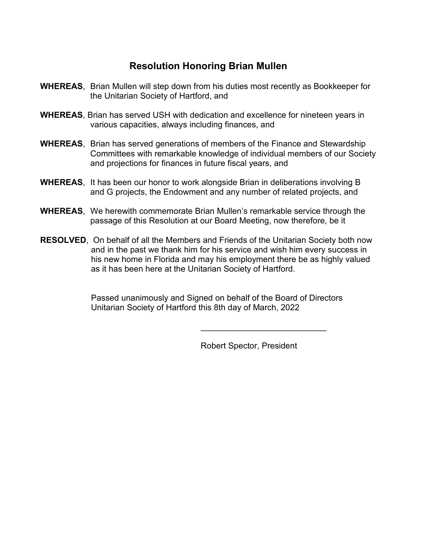## **Resolution Honoring Brian Mullen**

- **WHEREAS**, Brian Mullen will step down from his duties most recently as Bookkeeper for the Unitarian Society of Hartford, and
- **WHEREAS**, Brian has served USH with dedication and excellence for nineteen years in various capacities, always including finances, and
- **WHEREAS**, Brian has served generations of members of the Finance and Stewardship Committees with remarkable knowledge of individual members of our Society and projections for finances in future fiscal years, and
- **WHEREAS**, It has been our honor to work alongside Brian in deliberations involving B and G projects, the Endowment and any number of related projects, and
- **WHEREAS**, We herewith commemorate Brian Mullen's remarkable service through the passage of this Resolution at our Board Meeting, now therefore, be it
- **RESOLVED**, On behalf of all the Members and Friends of the Unitarian Society both now and in the past we thank him for his service and wish him every success in his new home in Florida and may his employment there be as highly valued as it has been here at the Unitarian Society of Hartford.

 Passed unanimously and Signed on behalf of the Board of Directors Unitarian Society of Hartford this 8th day of March, 2022

Robert Spector, President

\_\_\_\_\_\_\_\_\_\_\_\_\_\_\_\_\_\_\_\_\_\_\_\_\_\_\_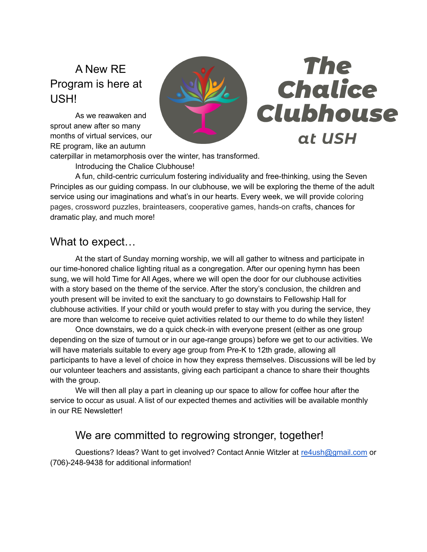# A New RE Program is here at USH!

As we reawaken and sprout anew after so many months of virtual services, our RE program, like an autumn



caterpillar in metamorphosis over the winter, has transformed.

Introducing the Chalice Clubhouse!

A fun, child-centric curriculum fostering individuality and free-thinking, using the Seven Principles as our guiding compass. In our clubhouse, we will be exploring the theme of the adult service using our imaginations and what's in our hearts. Every week, we will provide coloring pages, crossword puzzles, brainteasers, cooperative games, hands-on crafts, chances for dramatic play, and much more!

## What to expect…

At the start of Sunday morning worship, we will all gather to witness and participate in our time-honored chalice lighting ritual as a congregation. After our opening hymn has been sung, we will hold Time for All Ages, where we will open the door for our clubhouse activities with a story based on the theme of the service. After the story's conclusion, the children and youth present will be invited to exit the sanctuary to go downstairs to Fellowship Hall for clubhouse activities. If your child or youth would prefer to stay with you during the service, they are more than welcome to receive quiet activities related to our theme to do while they listen!

Once downstairs, we do a quick check-in with everyone present (either as one group depending on the size of turnout or in our age-range groups) before we get to our activities. We will have materials suitable to every age group from Pre-K to 12th grade, allowing all participants to have a level of choice in how they express themselves. Discussions will be led by our volunteer teachers and assistants, giving each participant a chance to share their thoughts with the group.

We will then all play a part in cleaning up our space to allow for coffee hour after the service to occur as usual. A list of our expected themes and activities will be available monthly in our RE Newsletter!

## We are committed to regrowing stronger, together!

Questions? Ideas? Want to get involved? Contact Annie Witzler at [re4ush@gmail.com](mailto:re4ush@gmail.com) or (706)-248-9438 for additional information!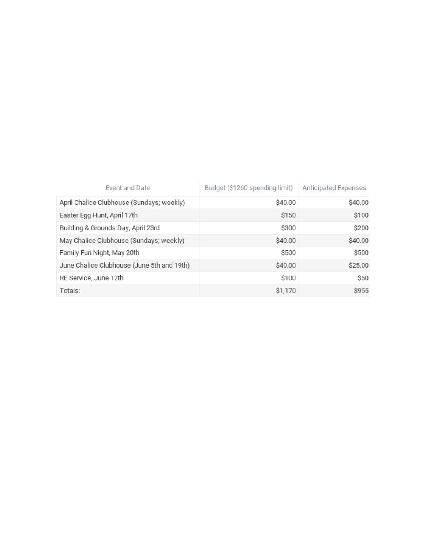| Event and Date                             | Budget (\$1260 spending limit) | Anticipated Expenses |
|--------------------------------------------|--------------------------------|----------------------|
| April Chalice Clubhouse (Sundays; weekly)  | \$40.00                        | \$40.00              |
| Easter Egg Hunt, April 17th                | \$150                          | \$100                |
| Building & Grounds Day, April 23rd         | \$300                          | \$200                |
| May Chalice Clubhouse (Sundays; weekly)    | \$40.00                        | \$40.00              |
| Family Fun Night, May 20th                 | \$500                          | \$500                |
| June Chalice Clubhouse (June 5th and 19th) | \$40.00                        | \$25.00              |
| RE Service, June 12th                      | \$100                          | \$50                 |
| Totals:                                    | \$1,170                        | \$955                |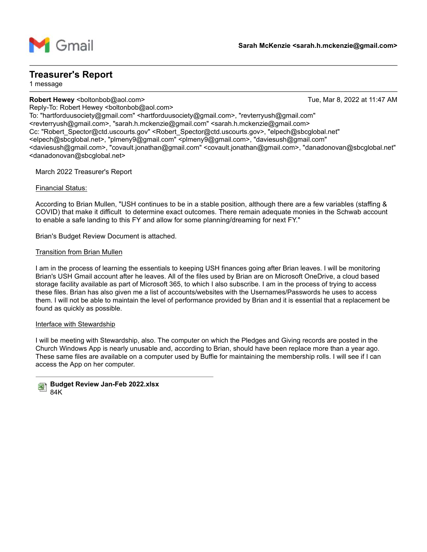

### **Treasurer's Report**

1 message

**Robert Hewey <boltonbob@aol.com> Tue, Mar 8, 2022 at 11:47 AM** 

Reply-To: Robert Hewey <boltonbob@aol.com> To: "hartforduusociety@gmail.com" <hartforduusociety@gmail.com>, "revterryush@gmail.com" <revterryush@gmail.com>, "sarah.h.mckenzie@gmail.com" <sarah.h.mckenzie@gmail.com> Cc: "Robert\_Spector@ctd.uscourts.gov" <Robert\_Spector@ctd.uscourts.gov>, "elpech@sbcglobal.net" <elpech@sbcglobal.net>, "plmeny9@gmail.com" <plmeny9@gmail.com>, "daviesush@gmail.com" <daviesush@gmail.com>, "covault.jonathan@gmail.com" <covault.jonathan@gmail.com>, "danadonovan@sbcglobal.net" <danadonovan@sbcglobal.net>

March 2022 Treasurer's Report

### Financial Status:

According to Brian Mullen, "USH continues to be in a stable position, although there are a few variables (staffing & COVID) that make it difficult to determine exact outcomes. There remain adequate monies in the Schwab account to enable a safe landing to this FY and allow for some planning/dreaming for next FY."

Brian's Budget Review Document is attached.

#### Transition from Brian Mullen

I am in the process of learning the essentials to keeping USH finances going after Brian leaves. I will be monitoring Brian's USH Gmail account after he leaves. All of the files used by Brian are on Microsoft OneDrive, a cloud based storage facility available as part of Microsoft 365, to which I also subscribe. I am in the process of trying to access these files. Brian has also given me a list of accounts/websites with the Usernames/Passwords he uses to access them. I will not be able to maintain the level of performance provided by Brian and it is essential that a replacement be found as quickly as possible.

#### Interface with Stewardship

I will be meeting with Stewardship, also. The computer on which the Pledges and Giving records are posted in the Church Windows App is nearly unusable and, according to Brian, should have been replace more than a year ago. These same files are available on a computer used by Buffie for maintaining the membership rolls. I will see if I can access the App on her computer.

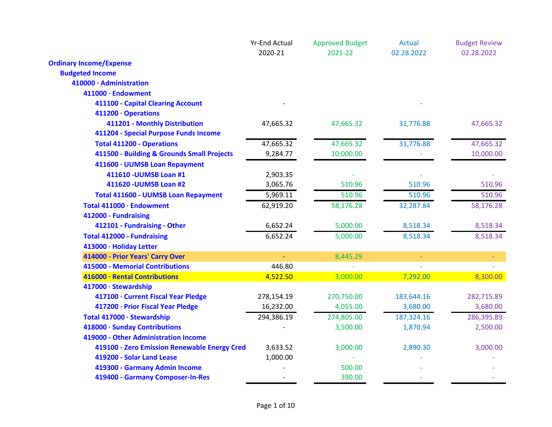|                                              | <b>Yr-End Actual</b> | <b>Approved Budget</b> | <b>Actual</b>  | <b>Budget Review</b> |
|----------------------------------------------|----------------------|------------------------|----------------|----------------------|
|                                              | 2020-21              | 2021-22                | 02.28.2022     | 02.28.2022           |
| <b>Ordinary Income/Expense</b>               |                      |                        |                |                      |
| <b>Budgeted Income</b>                       |                      |                        |                |                      |
| 410000 · Administration                      |                      |                        |                |                      |
| 411000 · Endowment                           |                      |                        |                |                      |
| 411100 - Capital Clearing Account            |                      |                        |                |                      |
| 411200 · Operations                          |                      |                        |                |                      |
| 411201 - Monthly Distribution                | 47,665.32            | 47,665.32              | 31,776.88      | 47,665.32            |
| 411204 - Special Purpose Funds Income        |                      |                        |                |                      |
| <b>Total 411200 - Operations</b>             | 47,665.32            | 47,665.32              | 31,776.88      | 47,665.32            |
| 411500 - Building & Grounds Small Projects   | 9,284.77             | 10,000.00              |                | 10,000.00            |
| 411600 · UUMSB Loan Repayment                |                      |                        |                |                      |
| 411610 - UUMSB Loan #1                       | 2,903.35             |                        |                |                      |
| 411620 - UUMSB Loan #2                       | 3,065.76             | 510.96                 | 510.96         | 510.96               |
| <b>Total 411600 - UUMSB Loan Repayment</b>   | 5,969.11             | 510.96                 | 510.96         | 510.96               |
| Total 411000 · Endowment                     | 62,919.20            | 58,176.28              | 32,287.84      | 58,176.28            |
| 412000 - Fundraising                         |                      |                        |                |                      |
| 412101 - Fundraising - Other                 | 6,652.24             | 5,000.00               | 8,518.34       | 8,518.34             |
| <b>Total 412000 - Fundraising</b>            | 6,652.24             | 5,000.00               | 8,518.34       | 8,518.34             |
| 413000 · Holiday Letter                      |                      |                        |                |                      |
| 414000 - Prior Years' Carry Over             |                      | 8,445.29               | $\blacksquare$ |                      |
| <b>415000 - Memorial Contributions</b>       | 446.80               |                        |                |                      |
| 416000 · Rental Contributions                | 4,522.50             | 3,000.00               | 7,292.00       | 8,300.00             |
| 417000 · Stewardship                         |                      |                        |                |                      |
| 417100 · Current Fiscal Year Pledge          | 278,154.19           | 270,750.00             | 183,644.16     | 282,715.89           |
| 417200 · Prior Fiscal Year Pledge            | 16,232.00            | 4,055.00               | 3,680.00       | 3,680.00             |
| Total 417000 · Stewardship                   | 294,386.19           | 274,805.00             | 187,324.16     | 286,395.89           |
| 418000 · Sunday Contributions                |                      | 3,500.00               | 1,870.94       | 2,500.00             |
| 419000 - Other Administration Income         |                      |                        |                |                      |
| 419100 - Zero Emission Renewable Energy Cred | 3,633.52             | 3,000.00               | 2,890.30       | 3,000.00             |
| 419200 - Solar Land Lease                    | 1,000.00             |                        |                |                      |
| 419300 - Garmany Admin Income                |                      | 500.00                 |                |                      |
| 419400 - Garmany Composer-In-Res             |                      | 390.00                 |                |                      |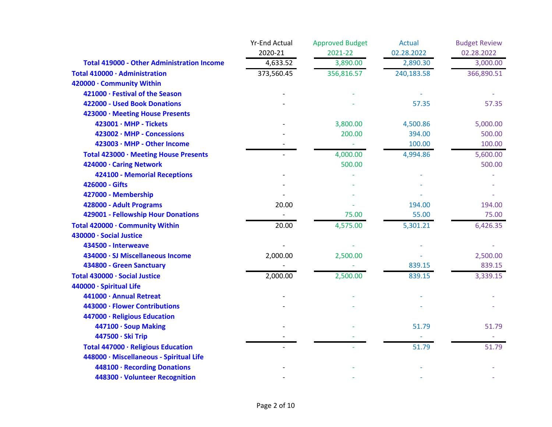|                                                   | <b>Yr-End Actual</b><br>2020-21 | <b>Approved Budget</b> | <b>Actual</b> | <b>Budget Review</b> |
|---------------------------------------------------|---------------------------------|------------------------|---------------|----------------------|
|                                                   |                                 | 2021-22                | 02.28.2022    | 02.28.2022           |
| <b>Total 419000 - Other Administration Income</b> | 4,633.52                        | 3,890.00               | 2,890.30      | 3,000.00             |
| Total 410000 · Administration                     | 373,560.45                      | 356,816.57             | 240,183.58    | 366,890.51           |
| 420000 · Community Within                         |                                 |                        |               |                      |
| 421000 · Festival of the Season                   |                                 |                        |               |                      |
| 422000 - Used Book Donations                      |                                 |                        | 57.35         | 57.35                |
| 423000 · Meeting House Presents                   |                                 |                        |               |                      |
| 423001 · MHP - Tickets                            |                                 | 3,800.00               | 4,500.86      | 5,000.00             |
| 423002 · MHP - Concessions                        |                                 | 200.00                 | 394.00        | 500.00               |
| 423003 · MHP - Other Income                       |                                 |                        | 100.00        | 100.00               |
| Total 423000 · Meeting House Presents             |                                 | 4,000.00               | 4,994.86      | 5,600.00             |
| 424000 · Caring Network                           |                                 | 500.00                 |               | 500.00               |
| 424100 - Memorial Receptions                      |                                 |                        |               |                      |
| 426000 - Gifts                                    |                                 |                        |               |                      |
| 427000 - Membership                               |                                 |                        |               |                      |
| 428000 - Adult Programs                           | 20.00                           |                        | 194.00        | 194.00               |
| 429001 - Fellowship Hour Donations                |                                 | 75.00                  | 55.00         | 75.00                |
| Total 420000 · Community Within                   | 20.00                           | 4,575.00               | 5,301.21      | 6,426.35             |
| 430000 · Social Justice                           |                                 |                        |               |                      |
| 434500 - Interweave                               |                                 |                        |               |                      |
| 434000 · SJ Miscellaneous Income                  | 2,000.00                        | 2,500.00               |               | 2,500.00             |
| 434800 - Green Sanctuary                          |                                 |                        | 839.15        | 839.15               |
| Total 430000 · Social Justice                     | 2,000.00                        | 2,500.00               | 839.15        | 3,339.15             |
| 440000 · Spiritual Life                           |                                 |                        |               |                      |
| 441000 · Annual Retreat                           |                                 |                        |               |                      |
| 443000 · Flower Contributions                     |                                 |                        |               |                      |
| 447000 · Religious Education                      |                                 |                        |               |                      |
| 447100 · Soup Making                              |                                 |                        | 51.79         | 51.79                |
| 447500 · Ski Trip                                 |                                 |                        |               |                      |
| Total 447000 · Religious Education                |                                 |                        | 51.79         | 51.79                |
| 448000 · Miscellaneous - Spiritual Life           |                                 |                        |               |                      |
| 448100 · Recording Donations                      |                                 |                        |               |                      |
| 448300 · Volunteer Recognition                    |                                 |                        |               |                      |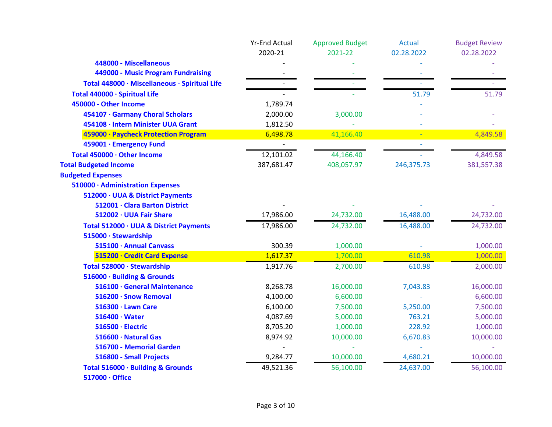|                                               | <b>Yr-End Actual</b> | <b>Approved Budget</b> | <b>Actual</b> | <b>Budget Review</b> |
|-----------------------------------------------|----------------------|------------------------|---------------|----------------------|
|                                               | 2020-21              | 2021-22                | 02.28.2022    | 02.28.2022           |
| 448000 - Miscellaneous                        |                      |                        |               |                      |
| 449000 - Music Program Fundraising            |                      |                        |               |                      |
| Total 448000 · Miscellaneous - Spiritual Life |                      |                        |               |                      |
| Total 440000 · Spiritual Life                 |                      |                        | 51.79         | 51.79                |
| 450000 - Other Income                         | 1,789.74             |                        |               |                      |
| 454107 · Garmany Choral Scholars              | 2,000.00             | 3,000.00               |               |                      |
| 454108 · Intern Minister UUA Grant            | 1,812.50             |                        |               |                      |
| 459000 · Paycheck Protection Program          | 6,498.78             | 41,166.40              |               | 4,849.58             |
| 459001 · Emergency Fund                       |                      |                        |               |                      |
| Total 450000 · Other Income                   | 12,101.02            | 44,166.40              |               | 4,849.58             |
| <b>Total Budgeted Income</b>                  | 387,681.47           | 408,057.97             | 246,375.73    | 381,557.38           |
| <b>Budgeted Expenses</b>                      |                      |                        |               |                      |
| 510000 · Administration Expenses              |                      |                        |               |                      |
| 512000 · UUA & District Payments              |                      |                        |               |                      |
| 512001 · Clara Barton District                |                      |                        |               |                      |
| 512002 · UUA Fair Share                       | 17,986.00            | 24,732.00              | 16,488.00     | 24,732.00            |
| Total 512000 · UUA & District Payments        | 17,986.00            | 24,732.00              | 16,488.00     | 24,732.00            |
| 515000 · Stewardship                          |                      |                        |               |                      |
| 515100 · Annual Canvass                       | 300.39               | 1,000.00               |               | 1,000.00             |
| 515200 · Credit Card Expense                  | 1,617.37             | 1,700.00               | 610.98        | 1,000.00             |
| Total 528000 · Stewardship                    | 1,917.76             | 2,700.00               | 610.98        | 2,000.00             |
| 516000 · Building & Grounds                   |                      |                        |               |                      |
| 516100 · General Maintenance                  | 8,268.78             | 16,000.00              | 7,043.83      | 16,000.00            |
| 516200 · Snow Removal                         | 4,100.00             | 6,600.00               |               | 6,600.00             |
| 516300 · Lawn Care                            | 6,100.00             | 7,500.00               | 5,250.00      | 7,500.00             |
| $516400 \cdot Water$                          | 4,087.69             | 5,000.00               | 763.21        | 5,000.00             |
| 516500 · Electric                             | 8,705.20             | 1,000.00               | 228.92        | 1,000.00             |
| 516600 · Natural Gas                          | 8,974.92             | 10,000.00              | 6,670.83      | 10,000.00            |
| 516700 - Memorial Garden                      |                      |                        |               |                      |
| 516800 - Small Projects                       | 9,284.77             | 10,000.00              | 4,680.21      | 10,000.00            |
| Total 516000 · Building & Grounds             | 49,521.36            | 56,100.00              | 24,637.00     | 56,100.00            |
| 517000 · Office                               |                      |                        |               |                      |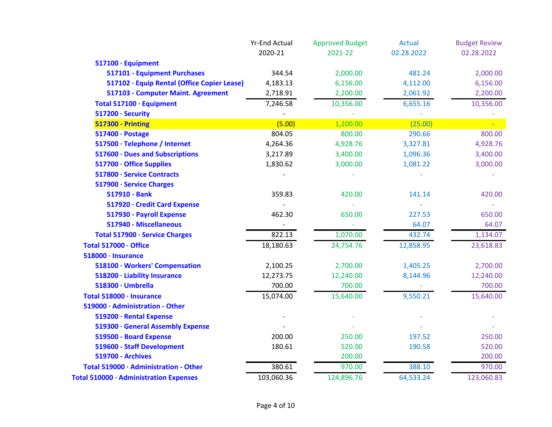|                                             | <b>Yr-End Actual</b> | <b>Approved Budget</b> | Actual     | <b>Budget Review</b> |
|---------------------------------------------|----------------------|------------------------|------------|----------------------|
|                                             | 2020-21              | 2021-22                | 02.28.2022 | 02.28.2022           |
| 517100 · Equipment                          |                      |                        |            |                      |
| 517101 - Equipment Purchases                | 344.54               | 2,000.00               | 481.24     | 2,000.00             |
| 517102 · Equip Rental (Office Copier Lease) | 4,183.13             | 6,156.00               | 4,112.00   | 6,156.00             |
| 517103 - Computer Maint. Agreement          | 2,718.91             | 2,200.00               | 2,061.92   | 2,200.00             |
| Total 517100 · Equipment                    | 7,246.58             | 10,356.00              | 6,655.16   | 10,356.00            |
| 517200 · Security                           |                      |                        |            |                      |
| <b>517300 - Printing</b>                    | (5.00)               | 1,200.00               | (25.00)    |                      |
| 517400 · Postage                            | 804.05               | 800.00                 | 290.66     | 800.00               |
| 517500 · Telephone / Internet               | 4,264.36             | 4,928.76               | 3,327.81   | 4,928.76             |
| 517600 · Dues and Subscriptions             | 3,217.89             | 3,400.00               | 1,096.36   | 3,400.00             |
| 517700 · Office Supplies                    | 1,830.62             | 3,000.00               | 1,081.22   | 3,000.00             |
| 517800 · Service Contracts                  |                      |                        |            |                      |
| 517900 · Service Charges                    |                      |                        |            |                      |
| 517910 - Bank                               | 359.83               | 420.00                 | 141.14     | 420.00               |
| 517920 · Credit Card Expense                |                      |                        |            |                      |
| 517930 - Payroll Expense                    | 462.30               | 650.00                 | 227.53     | 650.00               |
| 517940 - Miscellaneous                      |                      |                        | 64.07      | 64.07                |
| Total 517900 · Service Charges              | 822.13               | 1,070.00               | 432.74     | 1,134.07             |
| Total 517000 · Office                       | 18,180.63            | 24,754.76              | 12,858.95  | 23,618.83            |
| 518000 · Insurance                          |                      |                        |            |                      |
| 518100 · Workers' Compensation              | 2,100.25             | 2,700.00               | 1,405.25   | 2,700.00             |
| 518200 · Liability Insurance                | 12,273.75            | 12,240.00              | 8,144.96   | 12,240.00            |
| 518300 · Umbrella                           | 700.00               | 700.00                 |            | 700.00               |
| Total 518000 · Insurance                    | 15,074.00            | 15,640.00              | 9,550.21   | 15,640.00            |
| 519000 · Administration - Other             |                      |                        |            |                      |
| 519200 · Rental Expense                     |                      |                        |            |                      |
| 519300 · General Assembly Expense           |                      |                        |            |                      |
| 519500 - Board Expense                      | 200.00               | 250.00                 | 197.52     | 250.00               |
| 519600 - Staff Development                  | 180.61               | 520.00                 | 190.58     | 520.00               |
| <b>519700 - Archives</b>                    |                      | 200.00                 |            | 200.00               |
| Total 519000 · Administration - Other       | 380.61               | 970.00                 | 388.10     | 970.00               |
| Total 510000 · Administration Expenses      | 103,060.36           | 124,896.76             | 64,533.24  | 123,060.83           |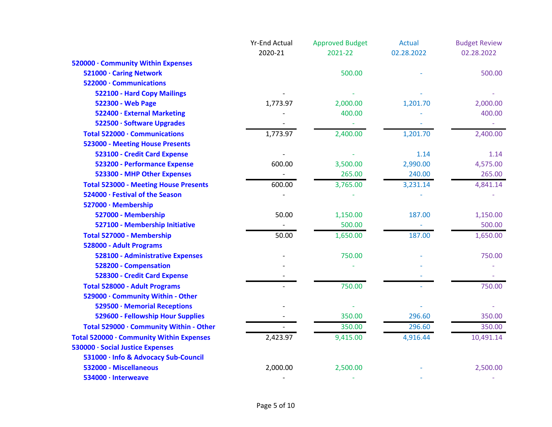|                                              | <b>Yr-End Actual</b> | <b>Approved Budget</b> | Actual     | <b>Budget Review</b> |
|----------------------------------------------|----------------------|------------------------|------------|----------------------|
|                                              | 2020-21              | 2021-22                | 02.28.2022 | 02.28.2022           |
| 520000 · Community Within Expenses           |                      |                        |            |                      |
| 521000 · Caring Network                      |                      | 500.00                 |            | 500.00               |
| 522000 · Communications                      |                      |                        |            |                      |
| 522100 - Hard Copy Mailings                  |                      |                        |            |                      |
| 522300 - Web Page                            | 1,773.97             | 2,000.00               | 1,201.70   | 2,000.00             |
| 522400 · External Marketing                  |                      | 400.00                 |            | 400.00               |
| 522500 · Software Upgrades                   |                      |                        |            |                      |
| Total 522000 · Communications                | 1,773.97             | 2,400.00               | 1,201.70   | 2,400.00             |
| <b>523000 - Meeting House Presents</b>       |                      |                        |            |                      |
| 523100 - Credit Card Expense                 |                      |                        | 1.14       | 1.14                 |
| 523200 - Performance Expense                 | 600.00               | 3,500.00               | 2,990.00   | 4,575.00             |
| 523300 - MHP Other Expenses                  |                      | 265.00                 | 240.00     | 265.00               |
| <b>Total 523000 - Meeting House Presents</b> | 600.00               | 3,765.00               | 3,231.14   | 4,841.14             |
| 524000 · Festival of the Season              |                      |                        |            |                      |
| 527000 · Membership                          |                      |                        |            |                      |
| 527000 - Membership                          | 50.00                | 1,150.00               | 187.00     | 1,150.00             |
| 527100 - Membership Initiative               |                      | 500.00                 |            | 500.00               |
| Total 527000 - Membership                    | 50.00                | 1,650.00               | 187.00     | 1,650.00             |
| 528000 - Adult Programs                      |                      |                        |            |                      |
| 528100 - Administrative Expenses             |                      | 750.00                 |            | 750.00               |
| 528200 - Compensation                        |                      |                        |            |                      |
| 528300 - Credit Card Expense                 |                      |                        |            |                      |
| <b>Total 528000 - Adult Programs</b>         |                      | 750.00                 |            | 750.00               |
| 529000 · Community Within - Other            |                      |                        |            |                      |
| 529500 · Memorial Receptions                 |                      |                        |            |                      |
| 529600 - Fellowship Hour Supplies            |                      | 350.00                 | 296.60     | 350.00               |
| Total 529000 · Community Within - Other      |                      | 350.00                 | 296.60     | 350.00               |
| Total 520000 · Community Within Expenses     | 2,423.97             | 9,415.00               | 4,916.44   | 10,491.14            |
| 530000 · Social Justice Expenses             |                      |                        |            |                      |
| 531000 · Info & Advocacy Sub-Council         |                      |                        |            |                      |
| 532000 - Miscellaneous                       | 2,000.00             | 2,500.00               |            | 2,500.00             |
| 534000 · Interweave                          |                      |                        |            |                      |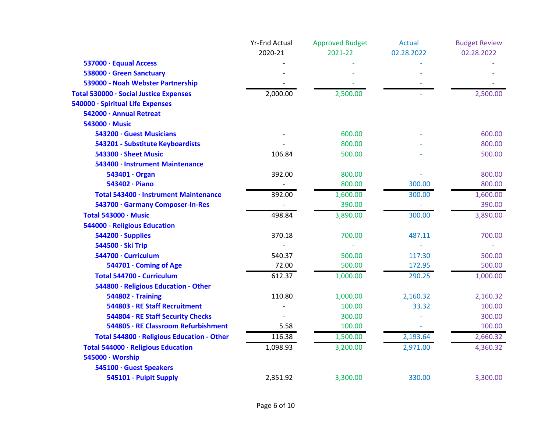| 2020-21<br>2021-22<br>02.28.2022<br>02.28.2022<br>537000 · Equual Access<br>538000 · Green Sanctuary<br>539000 - Noah Webster Partnership<br>2,500.00<br>2,000.00<br>2,500.00<br>Total 530000 · Social Justice Expenses<br>540000 · Spiritual Life Expenses<br>542000 · Annual Retreat<br>543000 · Music |  |
|----------------------------------------------------------------------------------------------------------------------------------------------------------------------------------------------------------------------------------------------------------------------------------------------------------|--|
|                                                                                                                                                                                                                                                                                                          |  |
|                                                                                                                                                                                                                                                                                                          |  |
|                                                                                                                                                                                                                                                                                                          |  |
|                                                                                                                                                                                                                                                                                                          |  |
|                                                                                                                                                                                                                                                                                                          |  |
|                                                                                                                                                                                                                                                                                                          |  |
|                                                                                                                                                                                                                                                                                                          |  |
|                                                                                                                                                                                                                                                                                                          |  |
| 543200 · Guest Musicians<br>600.00<br>600.00                                                                                                                                                                                                                                                             |  |
| 800.00<br>800.00<br>543201 - Substitute Keyboardists                                                                                                                                                                                                                                                     |  |
| 543300 · Sheet Music<br>106.84<br>500.00<br>500.00                                                                                                                                                                                                                                                       |  |
| 543400 · Instrument Maintenance                                                                                                                                                                                                                                                                          |  |
| 543401 · Organ<br>392.00<br>800.00<br>800.00                                                                                                                                                                                                                                                             |  |
| 800.00<br>800.00<br>543402 · Piano<br>300.00                                                                                                                                                                                                                                                             |  |
| 392.00<br>1,600.00<br>300.00<br>1,600.00<br>Total 543400 · Instrument Maintenance                                                                                                                                                                                                                        |  |
| 390.00<br>543700 · Garmany Composer-In-Res<br>390.00                                                                                                                                                                                                                                                     |  |
| Total 543000 · Music<br>498.84<br>3,890.00<br>300.00<br>3,890.00                                                                                                                                                                                                                                         |  |
| 544000 - Religious Education                                                                                                                                                                                                                                                                             |  |
| 370.18<br>544200 · Supplies<br>700.00<br>487.11<br>700.00                                                                                                                                                                                                                                                |  |
| 544500 · Ski Trip                                                                                                                                                                                                                                                                                        |  |
| 540.37<br>544700 · Curriculum<br>500.00<br>117.30<br>500.00                                                                                                                                                                                                                                              |  |
| 544701 · Coming of Age<br>72.00<br>500.00<br>500.00<br>172.95                                                                                                                                                                                                                                            |  |
| 612.37<br>1,000.00<br>290.25<br><b>Total 544700 - Curriculum</b><br>1,000.00                                                                                                                                                                                                                             |  |
| 544800 · Religious Education - Other                                                                                                                                                                                                                                                                     |  |
| 110.80<br>2,160.32<br>2,160.32<br>$544802 \cdot$ Training<br>1,000.00                                                                                                                                                                                                                                    |  |
| 544803 · RE Staff Recruitment<br>100.00<br>33.32<br>100.00                                                                                                                                                                                                                                               |  |
| 544804 · RE Staff Security Checks<br>300.00<br>300.00                                                                                                                                                                                                                                                    |  |
| 544805 · RE Classroom Refurbishment<br>100.00<br>5.58<br>100.00                                                                                                                                                                                                                                          |  |
| 116.38<br>2,193.64<br>2,660.32<br>Total 544800 · Religious Education - Other<br>1,500.00                                                                                                                                                                                                                 |  |
| 1,098.93<br>3,200.00<br>2,971.00<br>4,360.32<br>Total 544000 · Religious Education                                                                                                                                                                                                                       |  |
| 545000 · Worship                                                                                                                                                                                                                                                                                         |  |
| 545100 · Guest Speakers                                                                                                                                                                                                                                                                                  |  |
| 545101 - Pulpit Supply<br>2,351.92<br>3,300.00<br>330.00<br>3,300.00                                                                                                                                                                                                                                     |  |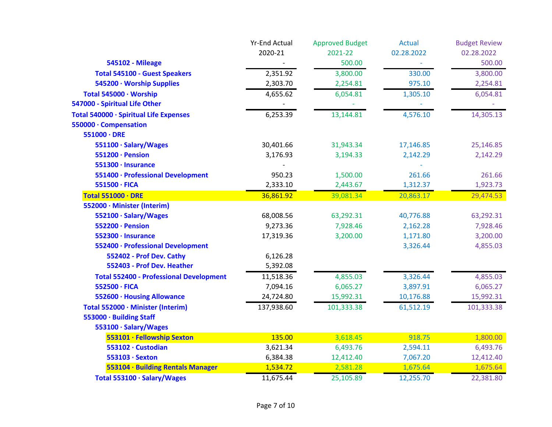|                                                | <b>Yr-End Actual</b> | <b>Approved Budget</b> | Actual     | <b>Budget Review</b> |
|------------------------------------------------|----------------------|------------------------|------------|----------------------|
|                                                | 2020-21              | 2021-22                | 02.28.2022 | 02.28.2022           |
| <b>545102 - Mileage</b>                        |                      | 500.00                 |            | 500.00               |
| <b>Total 545100 - Guest Speakers</b>           | 2,351.92             | 3,800.00               | 330.00     | 3,800.00             |
| 545200 · Worship Supplies                      | 2,303.70             | 2,254.81               | 975.10     | 2,254.81             |
| Total 545000 · Worship                         | 4,655.62             | 6,054.81               | 1,305.10   | 6,054.81             |
| 547000 - Spiritual Life Other                  |                      |                        |            |                      |
| Total 540000 · Spiritual Life Expenses         | 6,253.39             | 13,144.81              | 4,576.10   | 14,305.13            |
| 550000 · Compensation                          |                      |                        |            |                      |
| $551000 \cdot DRE$                             |                      |                        |            |                      |
| 551100 · Salary/Wages                          | 30,401.66            | 31,943.34              | 17,146.85  | 25,146.85            |
| 551200 · Pension                               | 3,176.93             | 3,194.33               | 2,142.29   | 2,142.29             |
| 551300 · Insurance                             |                      |                        |            |                      |
| 551400 · Professional Development              | 950.23               | 1,500.00               | 261.66     | 261.66               |
| 551500 · FICA                                  | 2,333.10             | 2,443.67               | 1,312.37   | 1,923.73             |
| <b>Total 551000 · DRE</b>                      | 36,861.92            | 39,081.34              | 20,863.17  | 29,474.53            |
| 552000 · Minister (Interim)                    |                      |                        |            |                      |
| 552100 · Salary/Wages                          | 68,008.56            | 63,292.31              | 40,776.88  | 63,292.31            |
| 552200 · Pension                               | 9,273.36             | 7,928.46               | 2,162.28   | 7,928.46             |
| 552300 · Insurance                             | 17,319.36            | 3,200.00               | 1,171.80   | 3,200.00             |
| 552400 · Professional Development              |                      |                        | 3,326.44   | 4,855.03             |
| 552402 - Prof Dev. Cathy                       | 6,126.28             |                        |            |                      |
| 552403 - Prof Dev. Heather                     | 5,392.08             |                        |            |                      |
| <b>Total 552400 - Professional Development</b> | 11,518.36            | 4,855.03               | 3,326.44   | 4,855.03             |
| 552500 · FICA                                  | 7,094.16             | 6,065.27               | 3,897.91   | 6,065.27             |
| 552600 · Housing Allowance                     | 24,724.80            | 15,992.31              | 10,176.88  | 15,992.31            |
| Total 552000 · Minister (Interim)              | 137,938.60           | 101,333.38             | 61,512.19  | 101,333.38           |
| 553000 · Building Staff                        |                      |                        |            |                      |
| 553100 · Salary/Wages                          |                      |                        |            |                      |
| 553101 · Fellowship Sexton                     | 135.00               | 3,618.45               | 918.75     | 1,800.00             |
| 553102 · Custodian                             | 3,621.34             | 6,493.76               | 2,594.11   | 6,493.76             |
| 553103 · Sexton                                | 6,384.38             | 12,412.40              | 7,067.20   | 12,412.40            |
| 553104 · Building Rentals Manager              | 1,534.72             | 2,581.28               | 1,675.64   | 1,675.64             |
| Total 553100 · Salary/Wages                    | 11,675.44            | 25,105.89              | 12,255.70  | 22,381.80            |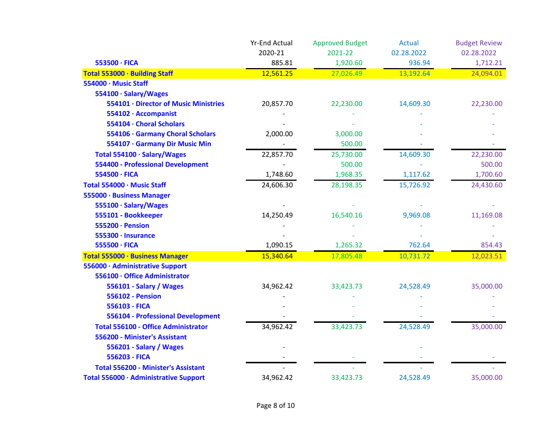|                                            | <b>Yr-End Actual</b> | <b>Approved Budget</b> | <b>Actual</b> | <b>Budget Review</b> |
|--------------------------------------------|----------------------|------------------------|---------------|----------------------|
|                                            | 2020-21              | 2021-22                | 02.28.2022    | 02.28.2022           |
| 553500 · FICA                              | 885.81               | 1,920.60               | 936.94        | 1,712.21             |
| Total 553000 · Building Staff              | 12,561.25            | 27,026.49              | 13,192.64     | 24,094.01            |
| 554000 · Music Staff                       |                      |                        |               |                      |
| 554100 · Salary/Wages                      |                      |                        |               |                      |
| 554101 · Director of Music Ministries      | 20,857.70            | 22,230.00              | 14,609.30     | 22,230.00            |
| 554102 · Accompanist                       |                      |                        |               |                      |
| 554104 · Choral Scholars                   |                      |                        |               |                      |
| 554106 · Garmany Choral Scholars           | 2,000.00             | 3,000.00               |               |                      |
| 554107 · Garmany Dir Music Min             |                      | 500.00                 |               |                      |
| Total 554100 · Salary/Wages                | 22,857.70            | 25,730.00              | 14,609.30     | 22,230.00            |
| <b>554400 - Professional Development</b>   |                      | 500.00                 |               | 500.00               |
| 554500 · FICA                              | 1,748.60             | 1,968.35               | 1,117.62      | 1,700.60             |
| Total 554000 · Music Staff                 | 24,606.30            | 28,198.35              | 15,726.92     | 24,430.60            |
| 555000 · Business Manager                  |                      |                        |               |                      |
| 555100 · Salary/Wages                      |                      |                        |               |                      |
| 555101 - Bookkeeper                        | 14,250.49            | 16,540.16              | 9,969.08      | 11,169.08            |
| 555200 · Pension                           |                      |                        |               |                      |
| 555300 · Insurance                         |                      |                        |               |                      |
| 555500 · FICA                              | 1,090.15             | 1,265.32               | 762.64        | 854.43               |
| Total 555000 · Business Manager            | 15,340.64            | 17,805.48              | 10,731.72     | 12,023.51            |
| 556000 · Administrative Support            |                      |                        |               |                      |
| 556100 · Office Administrator              |                      |                        |               |                      |
| 556101 - Salary / Wages                    | 34,962.42            | 33,423.73              | 24,528.49     | 35,000.00            |
| <b>556102 - Pension</b>                    |                      |                        |               |                      |
| 556103 - FICA                              |                      |                        |               |                      |
| 556104 - Professional Development          |                      |                        |               |                      |
| <b>Total 556100 - Office Administrator</b> | 34,962.42            | 33,423.73              | 24,528.49     | 35,000.00            |
| 556200 - Minister's Assistant              |                      |                        |               |                      |
| 556201 - Salary / Wages                    |                      |                        |               |                      |
| 556203 - FICA                              |                      |                        |               |                      |
| <b>Total 556200 - Minister's Assistant</b> |                      |                        |               |                      |
| Total 556000 · Administrative Support      | 34,962.42            | 33,423.73              | 24,528.49     | 35,000.00            |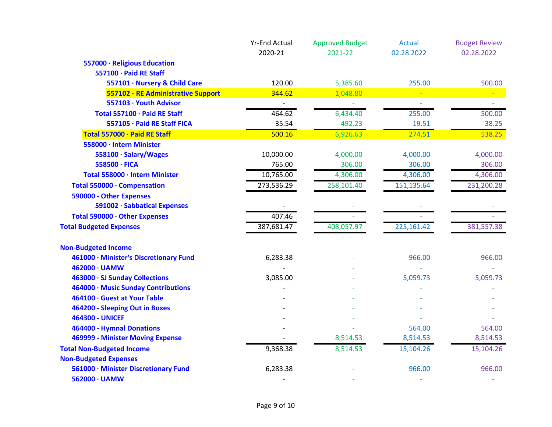|                                        | <b>Yr-End Actual</b><br>2020-21 | <b>Approved Budget</b><br>2021-22 | <b>Actual</b><br>02.28.2022 | <b>Budget Review</b><br>02.28.2022 |
|----------------------------------------|---------------------------------|-----------------------------------|-----------------------------|------------------------------------|
| 557000 · Religious Education           |                                 |                                   |                             |                                    |
| 557100 · Paid RE Staff                 |                                 |                                   |                             |                                    |
| 557101 · Nursery & Child Care          | 120.00                          | 5,385.60                          | 255.00                      | 500.00                             |
| 557102 - RE Administrative Support     | 344.62                          | 1,048.80                          |                             |                                    |
| 557103 · Youth Advisor                 |                                 |                                   |                             |                                    |
| Total 557100 · Paid RE Staff           | 464.62                          | 6,434.40                          | 255.00                      | 500.00                             |
| 557105 · Paid RE Staff FICA            | 35.54                           | 492.23                            | 19.51                       | 38.25                              |
| Total 557000 · Paid RE Staff           | 500.16                          | 6,926.63                          | 274.51                      | 538.25                             |
| 558000 · Intern Minister               |                                 |                                   |                             |                                    |
| 558100 · Salary/Wages                  | 10,000.00                       | 4,000.00                          | 4,000.00                    | 4,000.00                           |
| 558500 · FICA                          | 765.00                          | 306.00                            | 306.00                      | 306.00                             |
| Total 558000 · Intern Minister         | 10,765.00                       | 4,306.00                          | 4,306.00                    | 4,306.00                           |
| Total 550000 · Compensation            | 273,536.29                      | 258,101.40                        | 151,135.64                  | 231,200.28                         |
| 590000 - Other Expenses                |                                 |                                   |                             |                                    |
| 591002 · Sabbatical Expenses           |                                 |                                   |                             |                                    |
| Total 590000 · Other Expenses          | 407.46                          |                                   |                             |                                    |
| <b>Total Budgeted Expenses</b>         | 387,681.47                      | 408,057.97                        | 225,161.42                  | 381,557.38                         |
| <b>Non-Budgeted Income</b>             |                                 |                                   |                             |                                    |
| 461000 · Minister's Discretionary Fund | 6,283.38                        |                                   | 966.00                      | 966.00                             |
| 462000 · UAMW                          |                                 |                                   |                             |                                    |
| 463000 · SJ Sunday Collections         | 3,085.00                        |                                   | 5,059.73                    | 5,059.73                           |
| 464000 · Music Sunday Contributions    |                                 |                                   |                             |                                    |
| 464100 · Guest at Your Table           |                                 |                                   |                             |                                    |
| 464200 - Sleeping Out in Boxes         |                                 |                                   |                             |                                    |
| <b>464300 - UNICEF</b>                 |                                 |                                   |                             |                                    |
| 464400 - Hymnal Donations              |                                 |                                   | 564.00                      | 564.00                             |
| 469999 - Minister Moving Expense       |                                 | 8,514.53                          | 8,514.53                    | 8,514.53                           |
| <b>Total Non-Budgeted Income</b>       | 9,368.38                        | 8,514.53                          | 15,104.26                   | 15,104.26                          |
| <b>Non-Budgeted Expenses</b>           |                                 |                                   |                             |                                    |
| 561000 · Minister Discretionary Fund   | 6,283.38                        |                                   | 966.00                      | 966.00                             |
| 562000 · UAMW                          |                                 |                                   |                             |                                    |